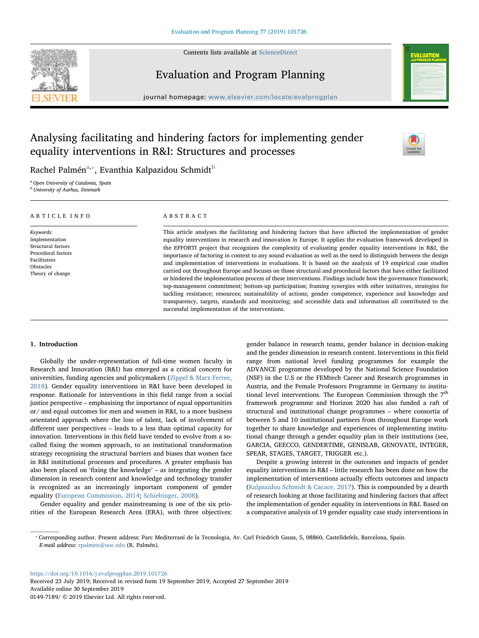Contents lists available at [ScienceDirect](http://www.sciencedirect.com/science/journal/01497189)





# Evaluation and Program Planning

journal homepage: [www.elsevier.com/locate/evalprogplan](https://www.elsevier.com/locate/evalprogplan)

# Analysing facilitating and hindering factors for implementing gender equality interventions in R&I: Structures and processes



R[a](#page-0-0)chel Palmén $^{\mathrm{a},*}$ , Evanthia Kalpazidou Schmidt $^{\mathrm{b}}$  $^{\mathrm{b}}$  $^{\mathrm{b}}$ 

<span id="page-0-0"></span><sup>a</sup> Open University of Catalonia, Spain

<span id="page-0-2"></span>**b** University of Aarhus, Denmark

| ARTICLE INFO                                                                                                             | ABSTRACT                                                                                                                                                                                                                                                                                                                                                                                                                                                                                                                                                                                                                                                                                                                                                                                                                                                                                                                                                                                                                                                                                                                                                           |
|--------------------------------------------------------------------------------------------------------------------------|--------------------------------------------------------------------------------------------------------------------------------------------------------------------------------------------------------------------------------------------------------------------------------------------------------------------------------------------------------------------------------------------------------------------------------------------------------------------------------------------------------------------------------------------------------------------------------------------------------------------------------------------------------------------------------------------------------------------------------------------------------------------------------------------------------------------------------------------------------------------------------------------------------------------------------------------------------------------------------------------------------------------------------------------------------------------------------------------------------------------------------------------------------------------|
| Keywords:<br>Implementation<br>Structural factors<br>Procedural factors<br>Facilitators<br>Obstacles<br>Theory of change | This article analyses the facilitating and hindering factors that have affected the implementation of gender<br>equality interventions in research and innovation in Europe. It applies the evaluation framework developed in<br>the EFFORTI project that recognizes the complexity of evaluating gender equality interventions in R&I, the<br>importance of factoring in context to any sound evaluation as well as the need to distinguish between the design<br>and implementation of interventions in evaluations. It is based on the analysis of 19 empirical case studies<br>carried out throughout Europe and focuses on those structural and procedural factors that have either facilitated<br>or hindered the implementation process of these interventions. Findings include how the governance framework;<br>top-management commitment; bottom-up participation; framing synergies with other initiatives, strategies for<br>tackling resistance; resources; sustainability of actions; gender competence, experience and knowledge and<br>transparency, targets, standards and monitoring; and accessible data and information all contributed to the |

successful implementation of the interventions.

# 1. Introduction

Globally the under-representation of full-time women faculty in Research and Innovation (R&I) has emerged as a critical concern for universities, funding agencies and policymakers ([Zippel & Marx Ferree,](#page-7-0) [2018\)](#page-7-0). Gender equality interventions in R&I have been developed in response. Rationale for interventions in this field range from a social justice perspective – emphasising the importance of equal opportunities or/ and equal outcomes for men and women in R&I, to a more business orientated approach where the loss of talent, lack of involvement of different user perspectives – leads to a less than optimal capacity for innovation. Interventions in this field have tended to evolve from a socalled fixing the women approach, to an institutional transformation strategy recognising the structural barriers and biases that women face in R&I institutional processes and procedures. A greater emphasis has also been placed on 'fixing the knowledge' – as integrating the gender dimension in research content and knowledge and technology transfer is recognized as an increasingly important component of gender equality ([European Commission, 2014;](#page-7-1) [Schiebinger, 2008\)](#page-7-2).

Gender equality and gender mainstreaming is one of the six priorities of the European Research Area (ERA), with three objectives: gender balance in research teams, gender balance in decision-making and the gender dimension in research content. Interventions in this field range from national level funding programmes for example the ADVANCE programme developed by the National Science Foundation (NSF) in the U.S or the FEMtech Career and Research programmes in Austria, and the Female Professors Programme in Germany to institutional level interventions. The European Commission through the  $7<sup>th</sup>$ framework programme and Horizon 2020 has also funded a raft of structural and institutional change programmes – where consortia of between 5 and 10 institutional partners from throughout Europe work together to share knowledge and experiences of implementing institutional change through a gender equality plan in their institutions (see, GARCIA, GEECCO, GENDERTIME, GENISLAB, GENOVATE, INTEGER, SPEAR, STAGES, TARGET, TRIGGER etc.).

Despite a growing interest in the outcomes and impacts of gender equality interventions in R&I – little research has been done on how the implementation of interventions actually effects outcomes and impacts ([Kalpazidou Schmidt & Cacace, 2017](#page-7-3)). This is compounded by a dearth of research looking at those facilitating and hindering factors that affect the implementation of gender equality in interventions in R&I. Based on a comparative analysis of 19 gender equality case study interventions in

<https://doi.org/10.1016/j.evalprogplan.2019.101726>

Received 23 July 2019; Received in revised form 19 September 2019; Accepted 27 September 2019 Available online 30 September 2019 0149-7189/ © 2019 Elsevier Ltd. All rights reserved.

<span id="page-0-1"></span><sup>⁎</sup> Corresponding author. Present address: Parc Mediterrani de la Tecnologia, Av. Carl Friedrich Gauss, 5, 08860, Castelldefels, Barcelona, Spain. E-mail address: [rpalmen@uoc.edu](mailto:rpalmen@uoc.edu) (R. Palmén).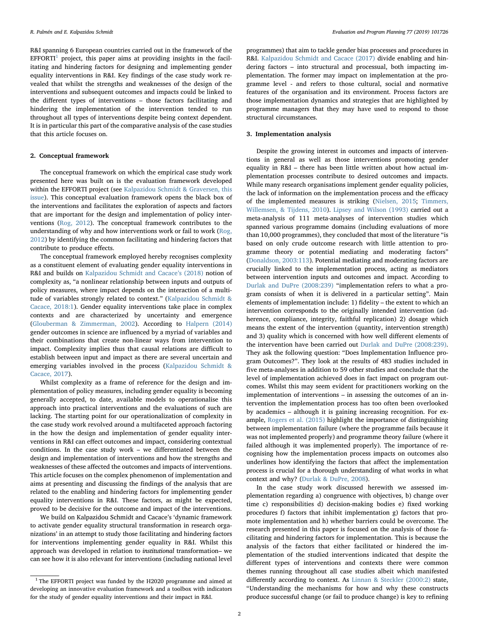R&I spanning 6 European countries carried out in the framework of the  $EFFORT<sup>1</sup>$  $EFFORT<sup>1</sup>$  $EFFORT<sup>1</sup>$  project, this paper aims at providing insights in the facilitating and hindering factors for designing and implementing gender equality interventions in R&I. Key findings of the case study work revealed that whilst the strengths and weaknesses of the design of the interventions and subsequent outcomes and impacts could be linked to the different types of interventions – those factors facilitating and hindering the implementation of the intervention tended to run throughout all types of interventions despite being context dependent. It is in particular this part of the comparative analysis of the case studies that this article focuses on.

# 2. Conceptual framework

The conceptual framework on which the empirical case study work presented here was built on is the evaluation framework developed within the EFFORTI project (see [Kalpazidou Schmidt & Graversen, this](#page-7-4) [issue\)](#page-7-4). This conceptual evaluation framework opens the black box of the interventions and facilitates the exploration of aspects and factors that are important for the design and implementation of policy interventions [\(Rog, 2012](#page-7-5)). The conceptual framework contributes to the understanding of why and how interventions work or fail to work ([Rog,](#page-7-5) [2012\)](#page-7-5) by identifying the common facilitating and hindering factors that contribute to produce effects.

The conceptual framework employed hereby recognises complexity as a constituent element of evaluating gender equality interventions in R&I and builds on [Kalpazidou Schmidt and Cacace](#page-7-6)'s (2018) notion of complexity as, "a nonlinear relationship between inputs and outputs of policy measures, where impact depends on the interaction of a multitude of variables strongly related to context." ([Kalpazidou Schmidt &](#page-7-6) [Cacace, 2018:1\)](#page-7-6). Gender equality interventions take place in complex contexts and are characterized by uncertainty and emergence ([Glouberman & Zimmerman, 2002](#page-7-7)). According to [Halpern \(2014\)](#page-7-8) gender outcomes in science are influenced by a myriad of variables and their combinations that create non-linear ways from intervention to impact. Complexity implies thus that causal relations are difficult to establish between input and impact as there are several uncertain and emerging variables involved in the process [\(Kalpazidou Schmidt &](#page-7-3) [Cacace, 2017\)](#page-7-3).

Whilst complexity as a frame of reference for the design and implementation of policy measures, including gender equality is becoming generally accepted, to date, available models to operationalise this approach into practical interventions and the evaluations of such are lacking. The starting point for our operationalization of complexity in the case study work revolved around a multifaceted approach factoring in the how the design and implementation of gender equality interventions in R&I can effect outcomes and impact, considering contextual conditions. In the case study work – we differentiated between the design and implementation of interventions and how the strengths and weaknesses of these affected the outcomes and impacts of interventions. This article focuses on the complex phenomenon of implementation and aims at presenting and discussing the findings of the analysis that are related to the enabling and hindering factors for implementing gender equality interventions in R&I. These factors, as might be expected, proved to be decisive for the outcome and impact of the interventions.

We build on Kalpazidou Schmidt and Cacace's 'dynamic framework to activate gender equality structural transformation in research organizations' in an attempt to study those facilitating and hindering factors for interventions implementing gender equality in R&I. Whilst this approach was developed in relation to institutional transformation– we can see how it is also relevant for interventions (including national level

programmes) that aim to tackle gender bias processes and procedures in R&I. [Kalpazidou Schmidt and Cacace \(2017\)](#page-7-3) divide enabling and hindering factors – into structural and processual, both impacting implementation. The former may impact on implementation at the programme level - and refers to those cultural, social and normative features of the organisation and its environment. Process factors are those implementation dynamics and strategies that are highlighted by programme managers that they may have used to respond to those structural circumstances.

# 3. Implementation analysis

Despite the growing interest in outcomes and impacts of interventions in general as well as those interventions promoting gender equality in R&I – there has been little written about how actual implementation processes contribute to desired outcomes and impacts. While many research organisations implement gender equality policies, the lack of information on the implementation process and the efficacy of the implemented measures is striking ([Nielsen, 2015;](#page-7-9) [Timmers,](#page-7-10) [Willemsen, & Tijdens, 2010](#page-7-10)). [Lipsey and Wilson \(1993\)](#page-7-11) carried out a meta-analysis of 111 meta-analyses of intervention studies which spanned various programme domains (including evaluations of more than 10,000 programmes), they concluded that most of the literature "is based on only crude outcome research with little attention to programme theory or potential mediating and moderating factors" ([Donaldson, 2003:113\)](#page-7-12). Potential mediating and moderating factors are crucially linked to the implementation process, acting as mediators between intervention inputs and outcomes and impact. According to [Durlak and DuPre \(2008:239\)](#page-7-13) "implementation refers to what a program consists of when it is delivered in a particular setting". Main elements of implementation include: 1) fidelity – the extent to which an intervention corresponds to the originally intended intervention (adherence, compliance, integrity, faithful replication) 2) dosage which means the extent of the intervention (quantity, intervention strength) and 3) quality which is concerned with how well different elements of the intervention have been carried out [Durlak and DuPre \(2008:239\)](#page-7-13). They ask the following question: "Does Implementation Influence program Outcomes?". They look at the results of 483 studies included in five meta-analyses in addition to 59 other studies and conclude that the level of implementation achieved does in fact impact on program outcomes. Whilst this may seem evident for practitioners working on the implementation of interventions – in assessing the outcomes of an intervention the implementation process has too often been overlooked by academics – although it is gaining increasing recognition. For example, [Rogers et al. \(2015\)](#page-7-14) highlight the importance of distinguishing between implementation failure (where the programme fails because it was not implemented properly) and programme theory failure (where it failed although it was implemented properly). The importance of recognising how the implementation process impacts on outcomes also underlines how identifying the factors that affect the implementation process is crucial for a thorough understanding of what works in what context and why? [\(Durlak & DuPre, 2008\)](#page-7-13).

In the case study work discussed herewith we assessed implementation regarding a) congruence with objectives, b) change over time c) responsibilities d) decision-making bodies e) fixed working procedures f) factors that inhibit implementation g) factors that promote implementation and h) whether barriers could be overcome. The research presented in this paper is focused on the analysis of those facilitating and hindering factors for implementation. This is because the analysis of the factors that either facilitated or hindered the implementation of the studied interventions indicated that despite the different types of interventions and contexts there were common themes running throughout all case studies albeit which manifested differently according to context. As [Linnan & Steckler \(2000:2\)](#page-7-15) state, "Understanding the mechanisms for how and why these constructs produce successful change (or fail to produce change) is key to refining

<span id="page-1-0"></span> $^{1}$  The EFFORTI project was funded by the H2020 programme and aimed at developing an innovative evaluation framework and a toolbox with indicators for the study of gender equality interventions and their impact in R&I.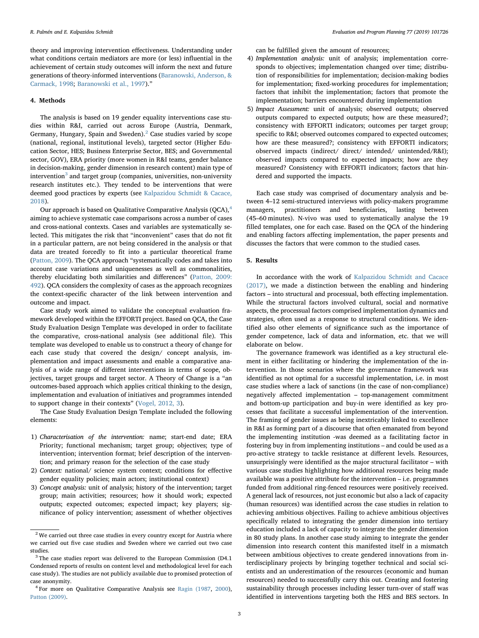theory and improving intervention effectiveness. Understanding under what conditions certain mediators are more (or less) influential in the achievement of certain study outcomes will inform the next and future generations of theory-informed interventions [\(Baranowski, Anderson, &](#page-7-16) [Carmack, 1998](#page-7-16); [Baranowski et al., 1997\)](#page-7-17)."

# 4. Methods

The analysis is based on 19 gender equality interventions case studies within R&I, carried out across Europe (Austria, Denmark, Germany, Hungary, Spain and Sweden).<sup>[2](#page-2-0)</sup> Case studies varied by scope (national, regional, institutional levels), targeted sector (Higher Education Sector, HES; Business Enterprise Sector, BES; and Governmental sector, GOV), ERA priority (more women in R&I teams, gender balance in decision-making, gender dimension in research content) main type of intervention<sup>[3](#page-2-1)</sup> and target group (companies, universities, non-university research institutes etc.). They tended to be interventions that were deemed good practices by experts (see [Kalpazidou Schmidt & Cacace,](#page-7-6) [2018\)](#page-7-6).

Our approach is based on Qualitative Comparative Analysis (QCA),<sup>[4](#page-2-2)</sup> aiming to achieve systematic case comparisons across a number of cases and cross-national contexts. Cases and variables are systematically selected. This mitigates the risk that "inconvenient" cases that do not fit in a particular pattern, are not being considered in the analysis or that data are treated forcedly to fit into a particular theoretical frame ([Patton, 2009\)](#page-7-18). The QCA approach "systematically codes and takes into account case variations and uniquenesses as well as commonalities, thereby elucidating both similarities and differences" ([Patton, 2009:](#page-7-18) [492](#page-7-18)). QCA considers the complexity of cases as the approach recognizes the context-specific character of the link between intervention and outcome and impact.

Case study work aimed to validate the conceptual evaluation framework developed within the EFFORTI project. Based on QCA, the Case Study Evaluation Design Template was developed in order to facilitate the comparative, cross-national analysis (see additional file). This template was developed to enable us to construct a theory of change for each case study that covered the design/ concept analysis, implementation and impact assessments and enable a comparative analysis of a wide range of different interventions in terms of scope, objectives, target groups and target sector. A Theory of Change is a "an outcomes-based approach which applies critical thinking to the design, implementation and evaluation of initiatives and programmes intended to support change in their contexts" ([Vogel, 2012, 3](#page-7-19)).

The Case Study Evaluation Design Template included the following elements:

- 1) Characterisation of the intervention: name; start-end date; ERA Priority; functional mechanism; target group; objectives; type of intervention; intervention format; brief description of the intervention; and primary reason for the selection of the case study
- 2) Context: national/ science system context; conditions for effective gender equality policies; main actors; institutional context)
- 3) Concept analysis: unit of analysis; history of the intervention; target group; main activities; resources; how it should work; expected outputs; expected outcomes; expected impact; key players; significance of policy intervention; assessment of whether objectives

can be fulfilled given the amount of resources;

- 4) Implementation analysis: unit of analysis; implementation corresponds to objectives; implementation changed over time; distribution of responsibilities for implementation; decision-making bodies for implementation; fixed-working procedures for implementation; factors that inhibit the implementation; factors that promote the implementation; barriers encountered during implementation
- 5) Impact Assessment: unit of analysis; observed outputs; observed outputs compared to expected outputs; how are these measured?; consistency with EFFORTI indicators; outcomes per target group; specific to R&I; observed outcomes compared to expected outcomes; how are these measured?; consistency with EFFORTI indicators; observed impacts (indirect/ direct/ intended/ unintended/R&I); observed impacts compared to expected impacts; how are they measured? Consistency with EFFORTI indicators; factors that hindered and supported the impacts.

Each case study was comprised of documentary analysis and between 4–12 semi-structured interviews with policy-makers programme managers, practitioners and beneficiaries, lasting between (45–60 minutes). N-vivo was used to systematically analyse the 19 filled templates, one for each case. Based on the QCA of the hindering and enabling factors affecting implementation, the paper presents and discusses the factors that were common to the studied cases.

#### 5. Results

In accordance with the work of [Kalpazidou Schmidt and Cacace](#page-7-3) [\(2017\),](#page-7-3) we made a distinction between the enabling and hindering factors – into structural and processual, both effecting implementation. While the structural factors involved cultural, social and normative aspects, the processual factors comprised implementation dynamics and strategies, often used as a response to structural conditions. We identified also other elements of significance such as the importance of gender competence, lack of data and information, etc. that we will elaborate on below.

The governance framework was identified as a key structural element in either facilitating or hindering the implementation of the intervention. In those scenarios where the governance framework was identified as not optimal for a successful implementation, i.e. in most case studies where a lack of sanctions (in the case of non-compliance) negatively affected implementation – top-management commitment and bottom-up participation and buy-in were identified as key processes that facilitate a successful implementation of the intervention. The framing of gender issues as being inextricably linked to excellence in R&I as forming part of a discourse that often emanated from beyond the implementing institution -was deemed as a facilitating factor in fostering buy in from implementing institutions – and could be used as a pro-active strategy to tackle resistance at different levels. Resources, unsurprisingly were identified as the major structural facilitator – with various case studies highlighting how additional resources being made available was a positive attribute for the intervention – i.e. programmes funded from additional ring-fenced resources were positively received. A general lack of resources, not just economic but also a lack of capacity (human resources) was identified across the case studies in relation to achieving ambitious objectives. Failing to achieve ambitious objectives specifically related to integrating the gender dimension into tertiary education included a lack of capacity to integrate the gender dimension in 80 study plans. In another case study aiming to integrate the gender dimension into research content this manifested itself in a mismatch between ambitious objectives to create gendered innovations from interdisciplinary projects by bringing together technical and social scientists and an underestimation of the resources (economic and human resources) needed to successfully carry this out. Creating and fostering sustainability through processes including lesser turn-over of staff was identified in interventions targeting both the HES and BES sectors. In

<span id="page-2-0"></span> $2$  We carried out three case studies in every country except for Austria where we carried out five case studies and Sweden where we carried out two case studies.

<span id="page-2-1"></span> $3$  The case studies report was delivered to the European Commission (D4.1) Condensed reports of results on content level and methodological level for each case study). The studies are not publicly available due to promised protection of case anonymity.

<span id="page-2-2"></span><sup>4</sup> For more on Qualitative Comparative Analysis see [Ragin \(1987](#page-7-20), [2000\)](#page-7-21), [Patton \(2009\)](#page-7-18).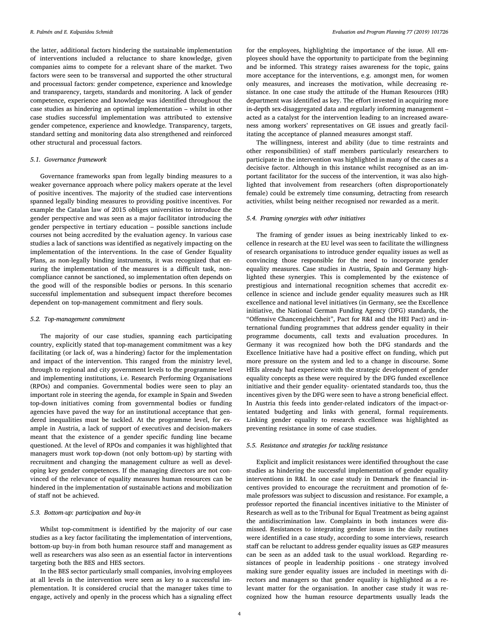the latter, additional factors hindering the sustainable implementation of interventions included a reluctance to share knowledge, given companies aims to compete for a relevant share of the market. Two factors were seen to be transversal and supported the other structural and processual factors: gender competence, experience and knowledge and transparency, targets, standards and monitoring. A lack of gender competence, experience and knowledge was identified throughout the case studies as hindering an optimal implementation – whilst in other case studies successful implementation was attributed to extensive gender competence, experience and knowledge. Transparency, targets, standard setting and monitoring data also strengthened and reinforced other structural and processual factors.

## 5.1. Governance framework

Governance frameworks span from legally binding measures to a weaker governance approach where policy makers operate at the level of positive incentives. The majority of the studied case interventions spanned legally binding measures to providing positive incentives. For example the Catalan law of 2015 obliges universities to introduce the gender perspective and was seen as a major facilitator introducing the gender perspective in tertiary education – possible sanctions include courses not being accredited by the evaluation agency. In various case studies a lack of sanctions was identified as negatively impacting on the implementation of the interventions. In the case of Gender Equality Plans, as non-legally binding instruments, it was recognized that ensuring the implementation of the measures is a difficult task, noncompliance cannot be sanctioned, so implementation often depends on the good will of the responsible bodies or persons. In this scenario successful implementation and subsequent impact therefore becomes dependent on top-management commitment and fiery souls.

#### 5.2. Top-management commitment

The majority of our case studies, spanning each participating country, explicitly stated that top-management commitment was a key facilitating (or lack of, was a hindering) factor for the implementation and impact of the intervention. This ranged from the ministry level, through to regional and city government levels to the programme level and implementing institutions, i.e. Research Performing Organisations (RPOs) and companies. Governmental bodies were seen to play an important role in steering the agenda, for example in Spain and Sweden top-down initiatives coming from governmental bodies or funding agencies have paved the way for an institutional acceptance that gendered inequalities must be tackled. At the programme level, for example in Austria, a lack of support of executives and decision-makers meant that the existence of a gender specific funding line became questioned. At the level of RPOs and companies it was highlighted that managers must work top-down (not only bottom-up) by starting with recruitment and changing the management culture as well as developing key gender competences. If the managing directors are not convinced of the relevance of equality measures human resources can be hindered in the implementation of sustainable actions and mobilization of staff not be achieved.

# 5.3. Bottom-up: participation and buy-in

Whilst top-commitment is identified by the majority of our case studies as a key factor facilitating the implementation of interventions, bottom-up buy-in from both human resource staff and management as well as researchers was also seen as an essential factor in interventions targeting both the BES and HES sectors.

In the BES sector particularly small companies, involving employees at all levels in the intervention were seen as key to a successful implementation. It is considered crucial that the manager takes time to engage, actively and openly in the process which has a signaling effect for the employees, highlighting the importance of the issue. All employees should have the opportunity to participate from the beginning and be informed. This strategy raises awareness for the topic, gains more acceptance for the interventions, e.g. amongst men, for women only measures, and increases the motivation, while decreasing resistance. In one case study the attitude of the Human Resources (HR) department was identified as key. The effort invested in acquiring more in-depth sex-disaggregated data and regularly informing management – acted as a catalyst for the intervention leading to an increased awareness among workers' representatives on GE issues and greatly facilitating the acceptance of planned measures amongst staff.

The willingness, interest and ability (due to time restraints and other responsibilities) of staff members particularly researchers to participate in the intervention was highlighted in many of the cases as a decisive factor. Although in this instance whilst recognised as an important facilitator for the success of the intervention, it was also highlighted that involvement from researchers (often disproportionately female) could be extremely time consuming, detracting from research activities, whilst being neither recognised nor rewarded as a merit.

# 5.4. Framing synergies with other initiatives

The framing of gender issues as being inextricably linked to excellence in research at the EU level was seen to facilitate the willingness of research organisations to introduce gender equality issues as well as convincing those responsible for the need to incorporate gender equality measures. Case studies in Austria, Spain and Germany highlighted these synergies. This is complemented by the existence of prestigious and international recognition schemes that accredit excellence in science and include gender equality measures such as HR excellence and national level initiatives (in Germany, see the Excellence initiative, the National German Funding Agency (DFG) standards, the "Offensive Chancengleichheit", Pact for R&I and the HEI Pact) and international funding programmes that address gender equality in their programme documents, call texts and evaluation procedures. In Germany it was recognized how both the DFG standards and the Excellence Initiative have had a positive effect on funding, which put more pressure on the system and led to a change in discourse. Some HEIs already had experience with the strategic development of gender equality concepts as these were required by the DFG funded excellence initiative and their gender equality- orientated standards too, thus the incentives given by the DFG were seen to have a strong beneficial effect. In Austria this feeds into gender-related indicators of the impact-orientated budgeting and links with general, formal requirements. Linking gender equality to research excellence was highlighted as preventing resistance in some of case studies.

## 5.5. Resistance and strategies for tackling resistance

Explicit and implicit resistances were identified throughout the case studies as hindering the successful implementation of gender equality interventions in R&I. In one case study in Denmark the financial incentives provided to encourage the recruitment and promotion of female professors was subject to discussion and resistance. For example, a professor reported the financial incentives initiative to the Minister of Research as well as to the Tribunal for Equal Treatment as being against the antidiscrimination law. Complaints in both instances were dismissed. Resistances to integrating gender issues in the daily routines were identified in a case study, according to some interviews, research staff can be reluctant to address gender equality issues as GEP measures can be seen as an added task to the usual workload. Regarding resistances of people in leadership positions - one strategy involved making sure gender equality issues are included in meetings with directors and managers so that gender equality is highlighted as a relevant matter for the organisation. In another case study it was recognized how the human resource departments usually leads the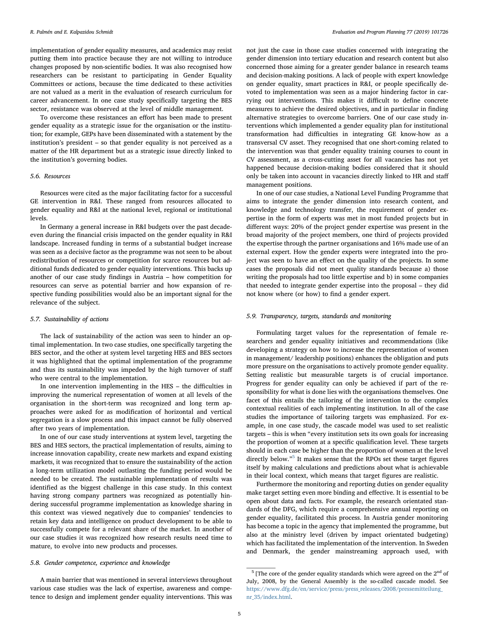implementation of gender equality measures, and academics may resist putting them into practice because they are not willing to introduce changes proposed by non-scientific bodies. It was also recognised how researchers can be resistant to participating in Gender Equality Committees or actions, because the time dedicated to these activities are not valued as a merit in the evaluation of research curriculum for career advancement. In one case study specifically targeting the BES sector, resistance was observed at the level of middle management.

To overcome these resistances an effort has been made to present gender equality as a strategic issue for the organisation or the institution; for example, GEPs have been disseminated with a statement by the institution's president – so that gender equality is not perceived as a matter of the HR department but as a strategic issue directly linked to the institution's governing bodies.

# 5.6. Resources

Resources were cited as the major facilitating factor for a successful GE intervention in R&I. These ranged from resources allocated to gender equality and R&I at the national level, regional or institutional levels.

In Germany a general increase in R&I budgets over the past decadeeven during the financial crisis impacted on the gender equality in R&I landscape. Increased funding in terms of a substantial budget increase was seen as a decisive factor as the programme was not seen to be about redistribution of resources or competition for scarce resources but additional funds dedicated to gender equality interventions. This backs up another of our case study findings in Austria – how competition for resources can serve as potential barrier and how expansion of respective funding possibilities would also be an important signal for the relevance of the subject.

#### 5.7. Sustainability of actions

The lack of sustainability of the action was seen to hinder an optimal implementation. In two case studies, one specifically targeting the BES sector, and the other at system level targeting HES and BES sectors it was highlighted that the optimal implementation of the programme and thus its sustainability was impeded by the high turnover of staff who were central to the implementation.

In one intervention implementing in the HES – the difficulties in improving the numerical representation of women at all levels of the organisation in the short-term was recognized and long term approaches were asked for as modification of horizontal and vertical segregation is a slow process and this impact cannot be fully observed after two years of implementation.

In one of our case study interventions at system level, targeting the BES and HES sectors, the practical implementation of results, aiming to increase innovation capability, create new markets and expand existing markets, it was recognized that to ensure the sustainability of the action a long-term utilization model outlasting the funding period would be needed to be created. The sustainable implementation of results was identified as the biggest challenge in this case study. In this context having strong company partners was recognized as potentially hindering successful programme implementation as knowledge sharing in this context was viewed negatively due to companies' tendencies to retain key data and intelligence on product development to be able to successfully compete for a relevant share of the market. In another of our case studies it was recognized how research results need time to mature, to evolve into new products and processes.

## 5.8. Gender competence, experience and knowledge

A main barrier that was mentioned in several interviews throughout various case studies was the lack of expertise, awareness and competence to design and implement gender equality interventions. This was not just the case in those case studies concerned with integrating the gender dimension into tertiary education and research content but also concerned those aiming for a greater gender balance in research teams and decision-making positions. A lack of people with expert knowledge on gender equality, smart practices in R&I, or people specifically devoted to implementation was seen as a major hindering factor in carrying out interventions. This makes it difficult to define concrete measures to achieve the desired objectives, and in particular in finding alternative strategies to overcome barriers. One of our case study interventions which implemented a gender equality plan for institutional transformation had difficulties in integrating GE know-how as a transversal CV asset. They recognised that one short-coming related to the intervention was that gender equality training courses to count in CV assessment, as a cross-cutting asset for all vacancies has not yet happened because decision-making bodies considered that it should only be taken into account in vacancies directly linked to HR and staff management positions.

In one of our case studies, a National Level Funding Programme that aims to integrate the gender dimension into research content, and knowledge and technology transfer, the requirement of gender expertise in the form of experts was met in most funded projects but in different ways: 20% of the project gender expertise was present in the broad majority of the project members, one third of projects provided the expertise through the partner organisations and 16% made use of an external expert. How the gender experts were integrated into the project was seen to have an effect on the quality of the projects. In some cases the proposals did not meet quality standards because a) those writing the proposals had too little expertise and b) in some companies that needed to integrate gender expertise into the proposal – they did not know where (or how) to find a gender expert.

# 5.9. Transparency, targets, standards and monitoring

Formulating target values for the representation of female researchers and gender equality initiatives and recommendations (like developing a strategy on how to increase the representation of women in management/ leadership positions) enhances the obligation and puts more pressure on the organisations to actively promote gender equality. Setting realistic but measurable targets is of crucial importance. Progress for gender equality can only be achieved if part of the responsibility for what is done lies with the organisations themselves. One facet of this entails the tailoring of the intervention to the complex contextual realities of each implementing institution. In all of the case studies the importance of tailoring targets was emphasized. For example, in one case study, the cascade model was used to set realistic targets – this is when "every institution sets its own goals for increasing the proportion of women at a specific qualification level. These targets should in each case be higher than the proportion of women at the level directly below."[5](#page-4-0) It makes sense that the RPOs set these target figures itself by making calculations and predictions about what is achievable in their local context, which means that target figures are realistic.

Furthermore the monitoring and reporting duties on gender equality make target setting even more binding and effective. It is essential to be open about data and facts. For example, the research orientated standards of the DFG, which require a comprehensive annual reporting on gender equality, facilitated this process. In Austria gender monitoring has become a topic in the agency that implemented the programme, but also at the ministry level (driven by impact orientated budgeting) which has facilitated the implementation of the intervention. In Sweden and Denmark, the gender mainstreaming approach used, with

<span id="page-4-0"></span> $^5$  [The core of the gender equality standards which were agreed on the  $2^{\rm nd}$  of July, 2008, by the General Assembly is the so-called cascade model. See [https://www.dfg.de/en/service/press/press\\_releases/2008/pressemitteilung\\_](https://www.dfg.de/en/service/press/press_releases/2008/pressemitteilung_nr_35/index.html) [nr\\_35/index.html.](https://www.dfg.de/en/service/press/press_releases/2008/pressemitteilung_nr_35/index.html)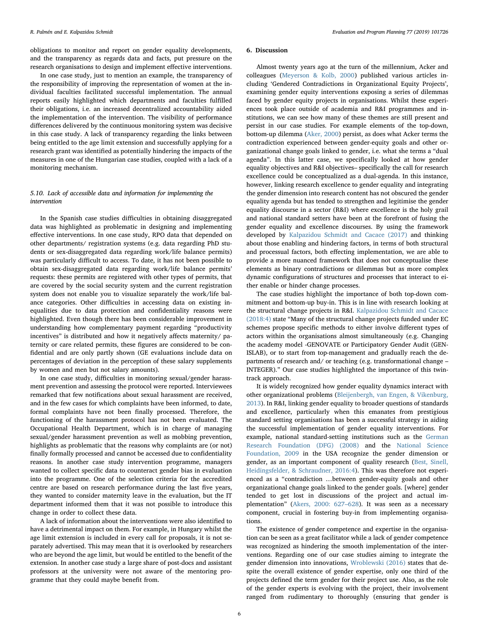obligations to monitor and report on gender equality developments, and the transparency as regards data and facts, put pressure on the research organisations to design and implement effective interventions.

In one case study, just to mention an example, the transparency of the responsibility of improving the representation of women at the individual faculties facilitated successful implementation. The annual reports easily highlighted which departments and faculties fulfilled their obligations, i.e. an increased decentralized accountability aided the implementation of the intervention. The visibility of performance differences delivered by the continuous monitoring system was decisive in this case study. A lack of transparency regarding the links between being entitled to the age limit extension and successfully applying for a research grant was identified as potentially hindering the impacts of the measures in one of the Hungarian case studies, coupled with a lack of a monitoring mechanism.

# 5.10. Lack of accessible data and information for implementing the intervention

In the Spanish case studies difficulties in obtaining disaggregated data was highlighted as problematic in designing and implementing effective interventions. In one case study, RPO data that depended on other departments/ registration systems (e.g. data regarding PhD students or sex-disaggregated data regarding work/life balance permits) was particularly difficult to access. To date, it has not been possible to obtain sex-disaggregated data regarding work/life balance permits' requests: these permits are registered with other types of permits, that are covered by the social security system and the current registration system does not enable you to visualize separately the work/life balance categories. Other difficulties in accessing data on existing inequalities due to data protection and confidentiality reasons were highlighted. Even though there has been considerable improvement in understanding how complementary payment regarding "productivity incentives" is distributed and how it negatively affects maternity/ paternity or care related permits, these figures are considered to be confidential and are only partly shown (GE evaluations include data on percentages of deviation in the perception of these salary supplements by women and men but not salary amounts).

In one case study, difficulties in monitoring sexual/gender harassment prevention and assessing the protocol were reported. Interviewees remarked that few notifications about sexual harassment are received, and in the few cases for which complaints have been informed, to date, formal complaints have not been finally processed. Therefore, the functioning of the harassment protocol has not been evaluated. The Occupational Health Department, which is in charge of managing sexual/gender harassment prevention as well as mobbing prevention, highlights as problematic that the reasons why complaints are (or not) finally formally processed and cannot be accessed due to confidentiality reasons. In another case study intervention programme, managers wanted to collect specific data to counteract gender bias in evaluation into the programme. One of the selection criteria for the accredited centre are based on research performance during the last five years, they wanted to consider maternity leave in the evaluation, but the IT department informed them that it was not possible to introduce this change in order to collect these data.

A lack of information about the interventions were also identified to have a detrimental impact on them. For example, in Hungary whilst the age limit extension is included in every call for proposals, it is not separately advertised. This may mean that it is overlooked by researchers who are beyond the age limit, but would be entitled to the benefit of the extension. In another case study a large share of post-docs and assistant professors at the university were not aware of the mentoring programme that they could maybe benefit from.

#### 6. Discussion

Almost twenty years ago at the turn of the millennium, Acker and colleagues ([Meyerson & Kolb, 2000\)](#page-7-22) published various articles including 'Gendered Contradictions in Organizational Equity Projects', examining gender equity interventions exposing a series of dilemmas faced by gender equity projects in organisations. Whilst these experiences took place outside of academia and R&I programmes and institutions, we can see how many of these themes are still present and persist in our case studies. For example elements of the top-down, bottom-up dilemma ([Aker, 2000](#page-7-23)) persist, as does what Acker terms the contradiction experienced between gender-equity goals and other organizational change goals linked to gender, i.e. what she terms a "dual agenda". In this latter case, we specifically looked at how gender equality objectives and R&I objectives– specifically the call for research excellence could be conceptualized as a dual-agenda. In this instance, however, linking research excellence to gender equality and integrating the gender dimension into research content has not obscured the gender equality agenda but has tended to strengthen and legitimise the gender equality discourse in a sector (R&I) where excellence is the holy grail and national standard setters have been at the forefront of fusing the gender equality and excellence discourses. By using the framework developed by [Kalpazidou Schmidt and Cacace \(2017\)](#page-7-3) and thinking about those enabling and hindering factors, in terms of both structural and processual factors, both effecting implementation, we are able to provide a more nuanced framework that does not conceptualise these elements as binary contradictions or dilemmas but as more complex dynamic configurations of structures and processes that interact to either enable or hinder change processes.

The case studies highlight the importance of both top-down commitment and bottom-up buy-in. This is in line with research looking at the structural change projects in R&I. [Kalpazidou Schmidt and Cacace](#page-7-6) [\(2018:4\)](#page-7-6) state "Many of the structural change projects funded under EC schemes propose specific methods to either involve different types of actors within the organisations almost simultaneously (e.g. Changing the academy model -GENOVATE or Participatory Gender Audit (GEN-ISLAB), or to start from top-management and gradually reach the departments of research and/ or teaching (e.g. transformational change – INTEGER)." Our case studies highlighted the importance of this twintrack approach.

It is widely recognized how gender equality dynamics interact with other organizational problems [\(Bleijenbergh, van Engen, & Vikenburg,](#page-7-24) [2013\)](#page-7-24). In R&I, linking gender equality to broader questions of standards and excellence, particularly when this emanates from prestigious standard setting organisations has been a successful strategy in aiding the successful implementation of gender equality interventions. For example, national standard-setting institutions such as the [German](#page-7-25) [Research Foundation \(DFG\) \(2008\)](#page-7-25) and the [National Science](#page-7-26) [Foundation, 2009](#page-7-26) in the USA recognize the gender dimension or gender, as an important component of quality research [\(Best, Sinell,](#page-7-27) [Heidingsfelder, & Schraudner, 2016:4\)](#page-7-27). This was therefore not experienced as a "contradiction …between gender-equity goals and other organizational change goals linked to the gender goals. [where] gender tended to get lost in discussions of the project and actual implementation" [\(Akers, 2000: 627](#page-7-23)–628). It was seen as a necessary component, crucial in fostering buy-in from implementing organisations.

The existence of gender competence and expertise in the organisation can be seen as a great facilitator while a lack of gender competence was recognized as hindering the smooth implementation of the interventions. Regarding one of our case studies aiming to integrate the gender dimension into innovations, [Wroblewski \(2016\)](#page-7-28) states that despite the overall existence of gender expertise, only one third of the projects defined the term gender for their project use. Also, as the role of the gender experts is evolving with the project, their involvement ranged from rudimentary to thoroughly (ensuring that gender is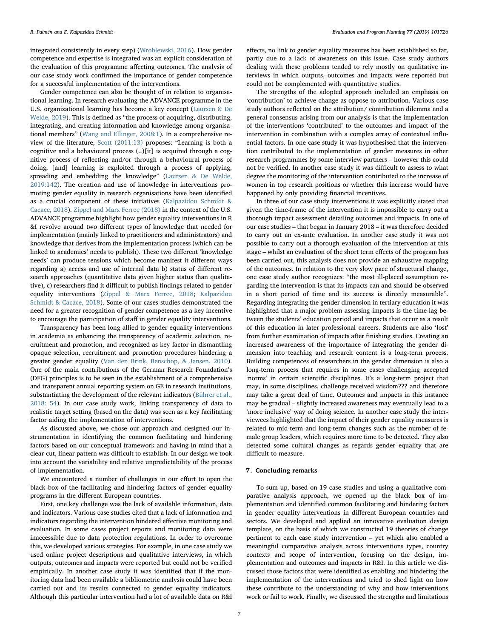integrated consistently in every step) ([Wroblewski, 2016](#page-7-28)). How gender competence and expertise is integrated was an explicit consideration of the evaluation of this programme affecting outcomes. The analysis of our case study work confirmed the importance of gender competence for a successful implementation of the interventions.

Gender competence can also be thought of in relation to organisational learning. In research evaluating the ADVANCE programme in the U.S. organizational learning has become a key concept [\(Laursen & De](#page-7-29) [Welde, 2019](#page-7-29)). This is defined as "the process of acquiring, distributing, integrating, and creating information and knowledge among organisational members" [\(Wang and Ellinger, 2008:1](#page-7-30)). In a comprehensive review of the literature, [Scott \(2011:13\)](#page-7-31) proposes: "Learning is both a cognitive and a behavioural process (..)[it] is acquired through a cognitive process of reflecting and/or through a behavioural process of doing, [and] learning is exploited through a process of applying, spreading and embedding the knowledge" [\(Laursen & De Welde,](#page-7-29) [2019:142](#page-7-29)). The creation and use of knowledge in interventions promoting gender equality in research organisations have been identified as a crucial component of these initiatives [\(Kalpazidou Schmidt &](#page-7-6) [Cacace, 2018](#page-7-6)). [Zippel and Marx Ferree \(2018\)](#page-7-0) in the context of the U.S. ADVANCE programme highlight how gender equality interventions in R &I revolve around two different types of knowledge that needed for implementation (mainly linked to practitioners and administrators) and knowledge that derives from the implementation process (which can be linked to academics' needs to publish). These two different 'knowledge needs' can produce tensions which become manifest it different ways regarding a) access and use of internal data b) status of different research approaches (quantitative data given higher status than qualitative), c) researchers find it difficult to publish findings related to gender equality interventions ([Zippel & Marx Ferree, 2018;](#page-7-0) [Kalpazidou](#page-7-6) [Schmidt & Cacace, 2018\)](#page-7-6). Some of our cases studies demonstrated the need for a greater recognition of gender competence as a key incentive to encourage the participation of staff in gender equality interventions.

Transparency has been long allied to gender equality interventions in academia as enhancing the transparency of academic selection, recruitment and promotion, and recognized as key factor in dismantling opaque selection, recruitment and promotion procedures hindering a greater gender equality ([Van den Brink, Benschop, & Jansen, 2010](#page-7-32)). One of the main contributions of the German Research Foundation's (DFG) principles is to be seen in the establishment of a comprehensive and transparent annual reporting system on GE in research institutions, substantiating the development of the relevant indicators [\(Bührer et al.,](#page-7-33) [2018: 54\)](#page-7-33). In our case study work, linking transparency of data to realistic target setting (based on the data) was seen as a key facilitating factor aiding the implementation of interventions.

As discussed above, we chose our approach and designed our instrumentation in identifying the common facilitating and hindering factors based on our conceptual framework and having in mind that a clear-cut, linear pattern was difficult to establish. In our design we took into account the variability and relative unpredictability of the process of implementation.

We encountered a number of challenges in our effort to open the black box of the facilitating and hindering factors of gender equality programs in the different European countries.

First, one key challenge was the lack of available information, data and indicators. Various case studies cited that a lack of information and indicators regarding the intervention hindered effective monitoring and evaluation. In some cases project reports and monitoring data were inaccessible due to data protection regulations. In order to overcome this, we developed various strategies. For example, in one case study we used online project descriptions and qualitative interviews, in which outputs, outcomes and impacts were reported but could not be verified empirically. In another case study it was identified that if the monitoring data had been available a bibliometric analysis could have been carried out and its results connected to gender equality indicators. Although this particular intervention had a lot of available data on R&I

effects, no link to gender equality measures has been established so far, partly due to a lack of awareness on this issue. Case study authors dealing with these problems tended to rely mostly on qualitative interviews in which outputs, outcomes and impacts were reported but could not be complemented with quantitative studies.

The strengths of the adopted approach included an emphasis on 'contribution' to achieve change as oppose to attribution. Various case study authors reflected on the attribution/ contribution dilemma and a general consensus arising from our analysis is that the implementation of the interventions 'contributed' to the outcomes and impact of the intervention in combination with a complex array of contextual influential factors. In one case study it was hypothesised that the intervention contributed to the implementation of gender measures in other research programmes by some interview partners – however this could not be verified. In another case study it was difficult to assess to what degree the monitoring of the intervention contributed to the increase of women in top research positions or whether this increase would have happened by only providing financial incentives.

In three of our case study interventions it was explicitly stated that given the time-frame of the intervention it is impossible to carry out a thorough impact assessment detailing outcomes and impacts. In one of our case studies – that began in January 2018 – it was therefore decided to carry out an ex-ante evaluation. In another case study it was not possible to carry out a thorough evaluation of the intervention at this stage – whilst an evaluation of the short term effects of the program has been carried out, this analysis does not provide an exhaustive mapping of the outcomes. In relation to the very slow pace of structural change, one case study author recognizes: "the most ill-placed assumption regarding the intervention is that its impacts can and should be observed in a short period of time and its success is directly measurable". Regarding integrating the gender dimension in tertiary education it was highlighted that a major problem assessing impacts is the time-lag between the students' education period and impacts that occur as a result of this education in later professional careers. Students are also 'lost' from further examination of impacts after finishing studies. Creating an increased awareness of the importance of integrating the gender dimension into teaching and research content is a long-term process. Building competences of researchers in the gender dimension is also a long-term process that requires in some cases challenging accepted 'norms' in certain scientific disciplines. It's a long-term project that may, in some disciplines, challenge received wisdom??? and therefore may take a great deal of time. Outcomes and impacts in this instance may be gradual – slightly increased awareness may eventually lead to a 'more inclusive' way of doing science. In another case study the interviewees highlighted that the impact of their gender equality measures is related to mid-term and long-term changes such as the number of female group leaders, which requires more time to be detected. They also detected some cultural changes as regards gender equality that are difficult to measure.

# 7. Concluding remarks

To sum up, based on 19 case studies and using a qualitative comparative analysis approach, we opened up the black box of implementation and identified common facilitating and hindering factors in gender equality interventions in different European countries and sectors. We developed and applied an innovative evaluation design template, on the basis of which we constructed 19 theories of change pertinent to each case study intervention – yet which also enabled a meaningful comparative analysis across interventions types, country contexts and scope of intervention, focusing on the design, implementation and outcomes and impacts in R&I. In this article we discussed those factors that were identified as enabling and hindering the implementation of the interventions and tried to shed light on how these contribute to the understanding of why and how interventions work or fail to work. Finally, we discussed the strengths and limitations